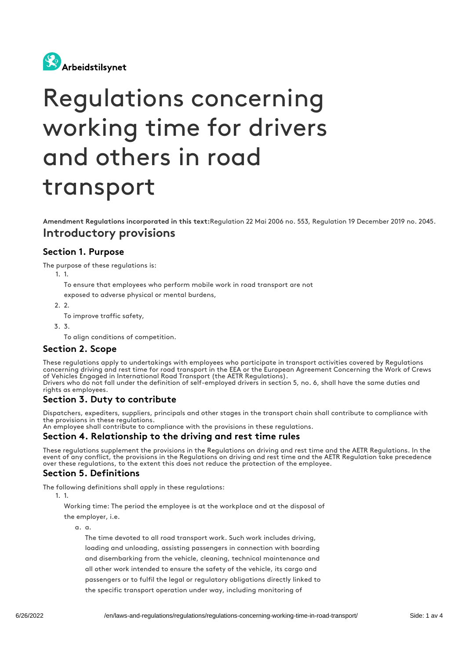

# Regulations concerning working time for drivers and others in road transport

Amendment Regulations incorporated in this text:Regulation 22 Mai 2006 no. 553, Regulation 19 December 2019 no. 2045. Introductory provisions

#### Section 1. Purpose

The purpose of these regulations is:

1. 1.

To ensure that employees who perform mobile work in road transport are not

exposed to adverse physical or mental burdens,

- 2. 2.
	- To improve traffic safety,
- 3. 3.

To align conditions of competition.

#### Section 2. Scope

These regulations apply to undertakings with employees who participate in transport activities covered by Regulations concerning driving and rest time for road transport in the EEA or the European Agreement Concerning the Work of Crews of Vehicles Engaged in International Road Transport (the AETR Regulations).

Drivers who do not fall under the definition of self-employed drivers in section 5, no. 6, shall have the same duties and rights as employees.

#### Section 3. Duty to contribute

Dispatchers, expediters, suppliers, principals and other stages in the transport chain shall contribute to compliance with the provisions in these regulations.

An employee shall contribute to compliance with the provisions in these regulations.

#### Section 4. Relationship to the driving and rest time rules

These regulations supplement the provisions in the Regulations on driving and rest time and the AETR Regulations. In the event of any conflict, the provisions in the Regulations on driving and rest time and the AETR Regulation take precedence over these regulations, to the extent this does not reduce the protection of the employee.

#### Section 5. Definitions

The following definitions shall apply in these regulations:

1. 1.

Working time: The period the employee is at the workplace and at the disposal of the employer, i.e.

a. a.

The time devoted to all road transport work. Such work includes driving, loading and unloading, assisting passengers in connection with boarding and disembarking from the vehicle, cleaning, technical maintenance and all other work intended to ensure the safety of the vehicle, its cargo and passengers or to fulfil the legal or regulatory obligations directly linked to the specific transport operation under way, including monitoring of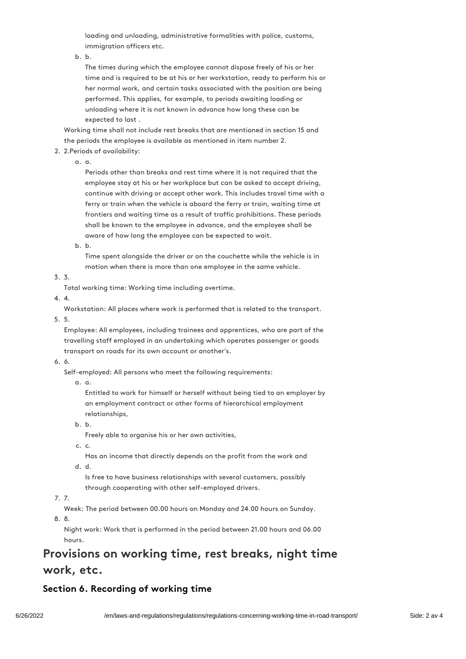loading and unloading, administrative formalities with police, customs, immigration officers etc.

b. b.

The times during which the employee cannot dispose freely of his or her time and is required to be at his or her workstation, ready to perform his or her normal work, and certain tasks associated with the position are being performed. This applies, for example, to periods awaiting loading or unloading where it is not known in advance how long these can be expected to last .

Working time shall not include rest breaks that are mentioned in section 15 and the periods the employee is available as mentioned in item number 2.

- 2. 2.Periods of availability:
	- a. a.

Periods other than breaks and rest time where it is not required that the employee stay at his or her workplace but can be asked to accept driving, continue with driving or accept other work. This includes travel time with a ferry or train when the vehicle is aboard the ferry or train, waiting time at frontiers and waiting time as a result of traffic prohibitions. These periods shall be known to the employee in advance, and the employee shall be aware of how long the employee can be expected to wait.

b. b.

Time spent alongside the driver or on the couchette while the vehicle is in motion when there is more than one employee in the same vehicle.

3. 3.

Total working time: Working time including overtime.

4. 4.

Workstation: All places where work is performed that is related to the transport.

5. 5.

Employee: All employees, including trainees and apprentices, who are part of the travelling staff employed in an undertaking which operates passenger or goods transport on roads for its own account or another's.

6. 6.

Self-employed: All persons who meet the following requirements:

a. a.

Entitled to work for himself or herself without being tied to an employer by an employment contract or other forms of hierarchical employment relationships,

b. b.

Freely able to organise his or her own activities,

c. c.

Has an income that directly depends on the profit from the work and d. d.

Is free to have business relationships with several customers, possibly through cooperating with other self-employed drivers.

7. 7.

Week: The period between 00.00 hours on Monday and 24.00 hours on Sunday.

8. 8.

Night work: Work that is performed in the period between 21.00 hours and 06.00 hours.

## Provisions on working time, rest breaks, night time work, etc.

## Section 6. Recording of working time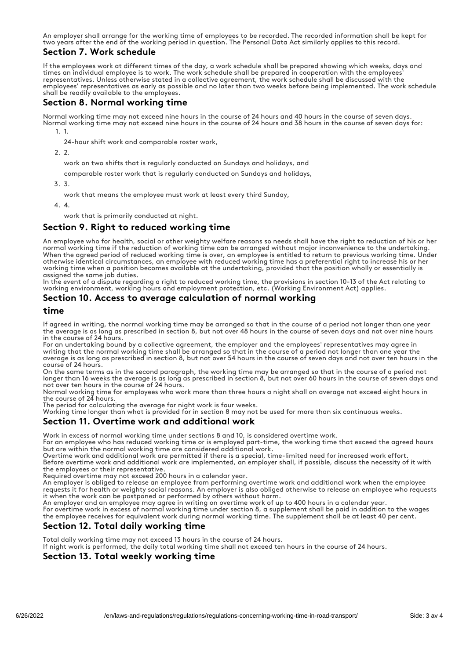An employer shall arrange for the working time of employees to be recorded. The recorded information shall be kept for two years after the end of the working period in question. The Personal Data Act similarly applies to this record.

#### Section 7. Work schedule

If the employees work at different times of the day, a work schedule shall be prepared showing which weeks, days and times an individual employee is to work. The work schedule shall be prepared in cooperation with the employees' representatives. Unless otherwise stated in a collective agreement, the work schedule shall be discussed with the employees' representatives as early as possible and no later than two weeks before being implemented. The work schedule shall be readily available to the employees.

#### Section 8. Normal working time

Normal working time may not exceed nine hours in the course of 24 hours and 40 hours in the course of seven days. Normal working time may not exceed nine hours in the course of 24 hours and 38 hours in the course of seven days for: 1. 1.

24-hour shift work and comparable roster work,

 $2.2$ 

work on two shifts that is regularly conducted on Sundays and holidays, and

comparable roster work that is regularly conducted on Sundays and holidays,

3. 3.

work that means the employee must work at least every third Sunday,

4. 4.

work that is primarily conducted at night.

#### Section 9. Right to reduced working time

An employee who for health, social or other weighty welfare reasons so needs shall have the right to reduction of his or her normal working time if the reduction of working time can be arranged without major inconvenience to the undertaking. When the agreed period of reduced working time is over, an employee is entitled to return to previous working time. Under otherwise identical circumstances, an employee with reduced working time has a preferential right to increase his or her working time when a position becomes available at the undertaking, provided that the position wholly or essentially is assigned the same job duties.

In the event of a dispute regarding a right to reduced working time, the provisions in section 10-13 of the Act relating to working environment, working hours and employment protection, etc. (Working Environment Act) applies.

#### Section 10. Access to average calculation of normal working

#### time

If agreed in writing, the normal working time may be arranged so that in the course of a period not longer than one year the average is as long as prescribed in section 8, but not over 48 hours in the course of seven days and not over nine hours in the course of 24 hours.

For an undertaking bound by a collective agreement, the employer and the employees' representatives may agree in writing that the normal working time shall be arranged so that in the course of a period not longer than one year the average is as long as prescribed in section 8, but not over 54 hours in the course of seven days and not over ten hours in the course of 24 hours.

On the same terms as in the second paragraph, the working time may be arranged so that in the course of a period not longer than 16 weeks the average is as long as prescribed in section 8, but not over 60 hours in the course of seven days and not over ten hours in the course of 24 hours.

Normal working time for employees who work more than three hours a night shall on average not exceed eight hours in the course of 24 hours.

The period for calculating the average for night work is four weeks.

Working time longer than what is provided for in section 8 may not be used for more than six continuous weeks.

#### Section 11. Overtime work and additional work

Work in excess of normal working time under sections 8 and 10, is considered overtime work.

For an employee who has reduced working time or is employed part-time, the working time that exceed the agreed hours but are within the normal working time are considered additional work.

Overtime work and additional work are permitted if there is a special, time-limited need for increased work effort. Before overtime work and additional work are implemented, an employer shall, if possible, discuss the necessity of it with the employees or their representative.

Required overtime may not exceed 200 hours in a calendar year.

An employer is obliged to release an employee from performing overtime work and additional work when the employee requests it for health or weighty social reasons. An employer is also obliged otherwise to release an employee who requests it when the work can be postponed or performed by others without harm.

An employer and an employee may agree in writing on overtime work of up to 400 hours in a calendar year.

For overtime work in excess of normal working time under section 8, a supplement shall be paid in addition to the wages the employee receives for equivalent work during normal working time. The supplement shall be at least 40 per cent.

#### Section 12. Total daily working time

Total daily working time may not exceed 13 hours in the course of 24 hours.

If night work is performed, the daily total working time shall not exceed ten hours in the course of 24 hours.

#### Section 13. Total weekly working time